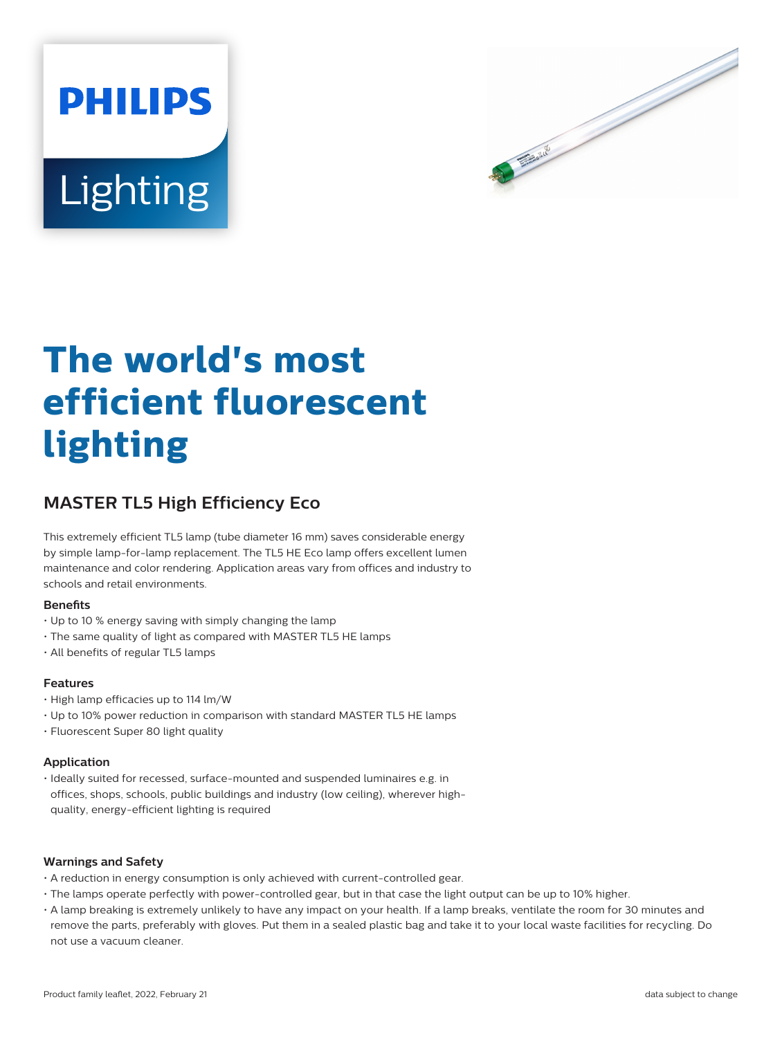



# **The world's most efficient fluorescent lighting**

# **MASTER TL5 High Efficiency Eco**

This extremely efficient TL5 lamp (tube diameter 16 mm) saves considerable energy by simple lamp-for-lamp replacement. The TL5 HE Eco lamp offers excellent lumen maintenance and color rendering. Application areas vary from offices and industry to schools and retail environments.

## **Benefits**

- Up to 10 % energy saving with simply changing the lamp
- The same quality of light as compared with MASTER TL5 HE lamps
- All benefits of regular TL5 lamps

## **Features**

- High lamp efficacies up to 114 lm/W
- Up to 10% power reduction in comparison with standard MASTER TL5 HE lamps
- Fluorescent Super 80 light quality

## **Application**

• Ideally suited for recessed, surface-mounted and suspended luminaires e.g. in offices, shops, schools, public buildings and industry (low ceiling), wherever highquality, energy-efficient lighting is required

## **Warnings and Safety**

- A reduction in energy consumption is only achieved with current-controlled gear.
- The lamps operate perfectly with power-controlled gear, but in that case the light output can be up to 10% higher.
- A lamp breaking is extremely unlikely to have any impact on your health. If a lamp breaks, ventilate the room for 30 minutes and remove the parts, preferably with gloves. Put them in a sealed plastic bag and take it to your local waste facilities for recycling. Do not use a vacuum cleaner.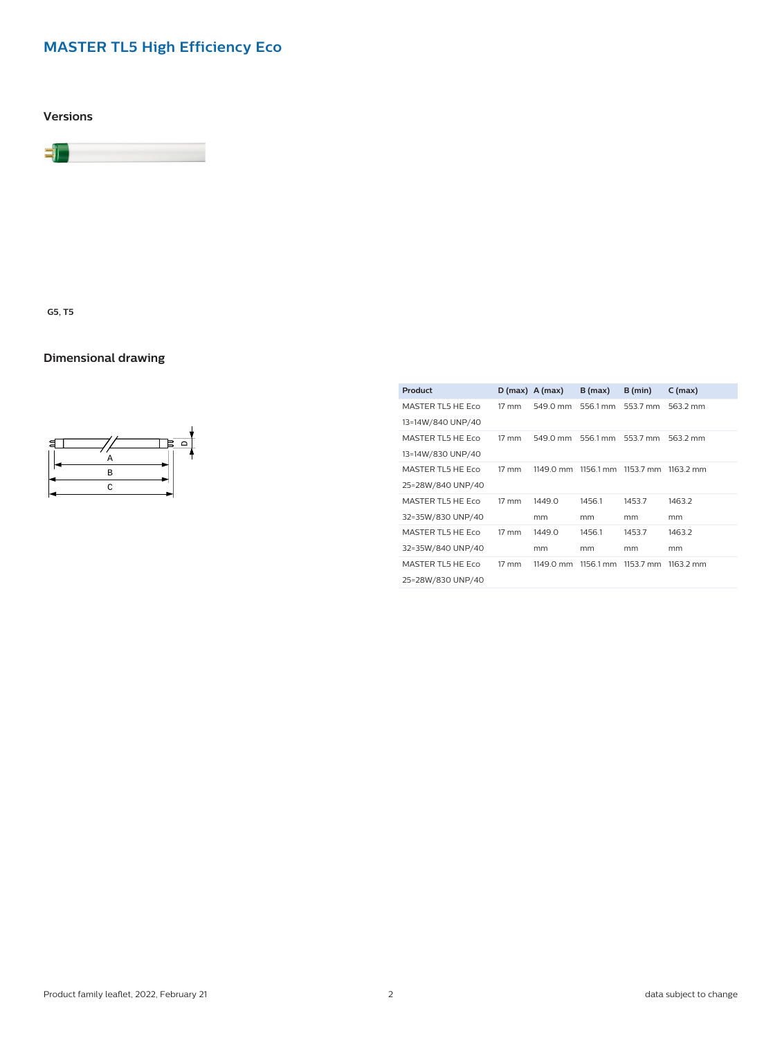# **MASTER TL5 High Efficiency Eco**

**Versions**



**G5, T5**

# **Dimensional drawing**



| Product           |                 | $D(max)$ A (max) | B(max)    | B (min)   | $C$ (max)           |
|-------------------|-----------------|------------------|-----------|-----------|---------------------|
| MASTER TL5 HE ECO | $17 \text{ mm}$ | 549.0 mm         | 556.1 mm  | 553.7 mm  | 563.2 mm            |
| 13=14W/840 UNP/40 |                 |                  |           |           |                     |
| MASTER TL5 HE ECO | $17 \text{ mm}$ | 549.0 mm         | 556.1 mm  | 553.7 mm  | 563.2 mm            |
| 13=14W/830 UNP/40 |                 |                  |           |           |                     |
| MASTER TL5 HE ECO | $17 \text{ mm}$ | 1149.0 mm        | 1156.1 mm | 1153.7 mm | $1163.2 \text{ mm}$ |
| 25=28W/840 UNP/40 |                 |                  |           |           |                     |
| MASTER TL5 HE ECO | $17 \text{ mm}$ | 1449.0           | 1456.1    | 1453.7    | 1463.2              |
| 32=35W/830 UNP/40 |                 | mm               | mm        | mm        | mm                  |
| MASTER TL5 HE ECO | $17 \text{ mm}$ | 1449.0           | 1456.1    | 1453.7    | 1463.2              |
| 32=35W/840 UNP/40 |                 | mm               | mm        | mm        | mm                  |
| MASTER TL5 HE ECO | $17 \text{ mm}$ | 1149.0 mm        | 1156.1 mm | 1153.7 mm | 1163.2 mm           |
| 25=28W/830 UNP/40 |                 |                  |           |           |                     |
|                   |                 |                  |           |           |                     |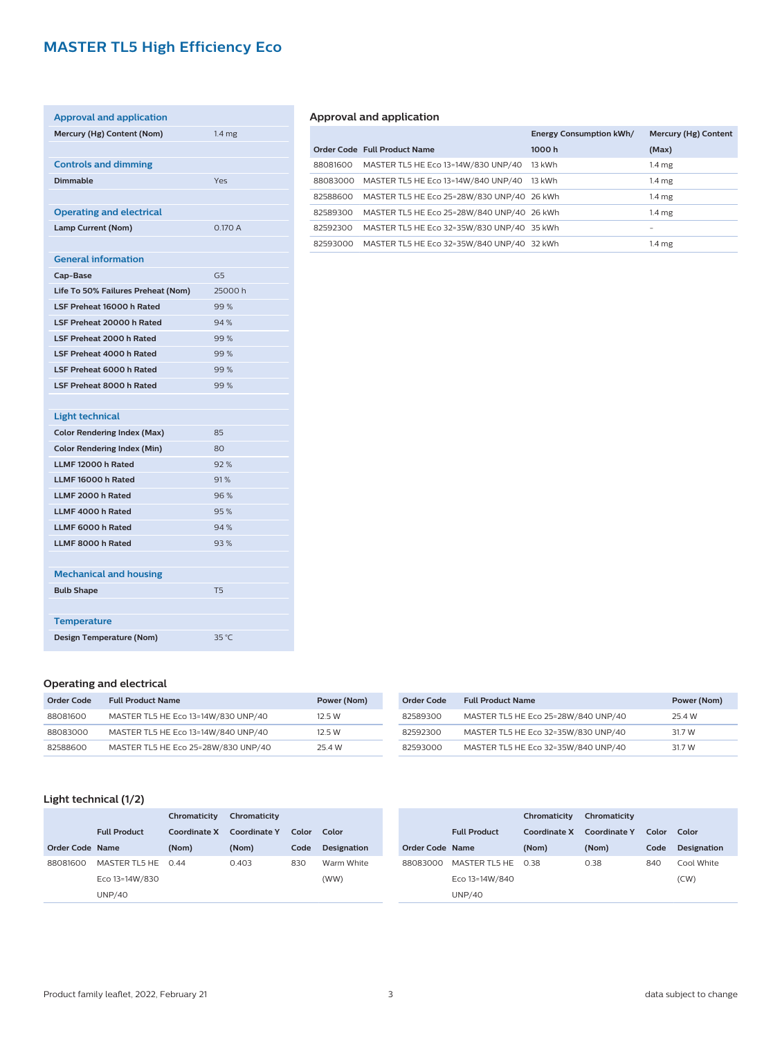# **MASTER TL5 High Efficiency Eco**

| <b>Approval and application</b>    |                   |
|------------------------------------|-------------------|
| Mercury (Hg) Content (Nom)         | 1.4 <sub>mg</sub> |
|                                    |                   |
| <b>Controls and dimming</b>        |                   |
| <b>Dimmable</b>                    | Yes               |
|                                    |                   |
| <b>Operating and electrical</b>    |                   |
| <b>Lamp Current (Nom)</b>          | 0.170A            |
|                                    |                   |
| <b>General information</b>         |                   |
| Cap-Base                           | G <sub>5</sub>    |
| Life To 50% Failures Preheat (Nom) | 25000 h           |
| <b>LSF Preheat 16000 h Rated</b>   | 99%               |
| LSF Preheat 20000 h Rated          | 94%               |
| <b>LSF Preheat 2000 h Rated</b>    | 99%               |
| <b>LSF Preheat 4000 h Rated</b>    | 99%               |
| <b>LSF Preheat 6000 h Rated</b>    | 99%               |
| <b>LSF Preheat 8000 h Rated</b>    | 99%               |
|                                    |                   |
| <b>Light technical</b>             |                   |
| <b>Color Rendering Index (Max)</b> | 85                |
| <b>Color Rendering Index (Min)</b> | 80                |
| LLMF 12000 h Rated                 | 92%               |
| LLMF 16000 h Rated                 | 91%               |
| LLMF 2000 h Rated                  | 96%               |
| LLMF 4000 h Rated                  | 95%               |
| LLMF 6000 h Rated                  | 94 %              |
| LLMF 8000 h Rated                  | 93%               |
|                                    |                   |
| <b>Mechanical and housing</b>      |                   |
| <b>Bulb Shape</b>                  | <b>T5</b>         |
|                                    |                   |
| <b>Temperature</b>                 |                   |
| <b>Design Temperature (Nom)</b>    | 35 °C             |

# **Approval and application**

|          |                                            | <b>Energy Consumption kWh/</b> | Mercury (Hg) Content |
|----------|--------------------------------------------|--------------------------------|----------------------|
|          | Order Code Full Product Name               | 1000h                          | (Max)                |
| 88081600 | MASTER TL5 HE Eco 13=14W/830 UNP/40        | 13 kWh                         | $1.4 \text{ mg}$     |
| 88083000 | MASTER TL5 HE Eco 13=14W/840 UNP/40 13 kWh |                                | 1.4 <sub>mg</sub>    |
| 82588600 | MASTER TL5 HE Eco 25=28W/830 UNP/40 26 kWh |                                | $1.4 \text{ mg}$     |
| 82589300 | MASTER TL5 HE Eco 25=28W/840 UNP/40 26 kWh |                                | $1.4 \text{ mg}$     |
| 82592300 | MASTER TL5 HE Eco 32=35W/830 UNP/40 35 kWh |                                |                      |
| 82593000 | MASTER TL5 HE Eco 32=35W/840 UNP/40 32 kWh |                                | 1.4 <sub>mg</sub>    |

## **Operating and electrical**

| Order Code | <b>Full Product Name</b>            | Power (Nom) |
|------------|-------------------------------------|-------------|
| 88081600   | MASTER TL5 HE Eco 13=14W/830 UNP/40 | 12.5 W      |
| 88083000   | MASTER TL5 HE Eco 13=14W/840 UNP/40 | 12.5 W      |
| 82588600   | MASTER TL5 HE Eco 25=28W/830 UNP/40 | 25.4 W      |

| Order Code | <b>Full Product Name</b>            | Power (Nom) |
|------------|-------------------------------------|-------------|
| 82589300   | MASTER TL5 HE Eco 25=28W/840 UNP/40 | 25.4 W      |
| 82592300   | MASTER TL5 HE Eco 32=35W/830 UNP/40 | 31.7 W      |
| 82593000   | MASTER TL5 HE Eco 32=35W/840 UNP/40 | 31.7 W      |

# **Light technical (1/2)**

|                        |                     | Chromaticity | Chromaticity |       |                    |
|------------------------|---------------------|--------------|--------------|-------|--------------------|
|                        | <b>Full Product</b> | Coordinate X | Coordinate Y | Color | Color              |
| <b>Order Code Name</b> |                     | (Nom)        | (Nom)        | Code  | <b>Designation</b> |
| 88081600               | MASTER TL5 HE 0.44  |              | 0.403        | 830   | Warm White         |
|                        | Eco 13=14W/830      |              |              |       | (WW)               |
|                        | UNP/40              |              |              |       |                    |

|                 |                     | Chromaticity | Chromaticity |       |                    |
|-----------------|---------------------|--------------|--------------|-------|--------------------|
|                 | <b>Full Product</b> | Coordinate X | Coordinate Y | Color | Color              |
| Order Code Name |                     | (Nom)        | (Nom)        | Code  | <b>Designation</b> |
| 88083000        | MASTER TL5 HE 0.38  |              | 0.38         | 840   | Cool White         |
|                 | Eco 13=14W/840      |              |              |       | (CW)               |
|                 | <b>UNP/40</b>       |              |              |       |                    |